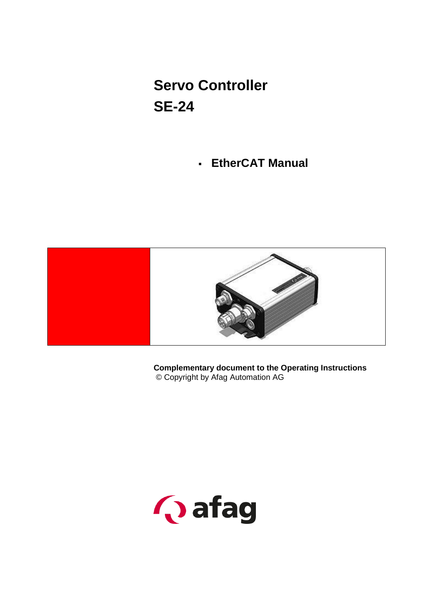# **Servo Controller SE-24**

**EtherCAT Manual**



**Complementary document to the Operating Instructions** © Copyright by Afag Automation AG

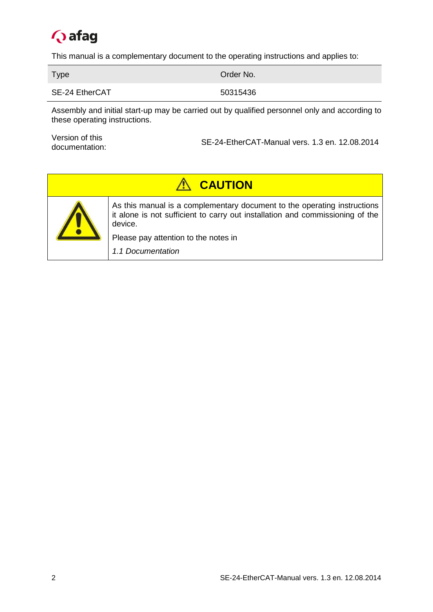

This manual is a complementary document to the operating instructions and applies to:

Type **Order No.** 2004 Contract the Contract of Contract of Contract of Contract of Contract of Contract of Contract of Contract of Contract of Contract of Contract of Contract of Contract of Contract of Contract of Contrac

SE-24 EtherCAT 50315436

Assembly and initial start-up may be carried out by qualified personnel only and according to these operating instructions.

Version of this documentation:

SE-24-EtherCAT-Manual vers. 1.3 en. 12.08.2014

| <b>A CAUTION</b> |                                                                                                                                                                      |  |
|------------------|----------------------------------------------------------------------------------------------------------------------------------------------------------------------|--|
|                  | As this manual is a complementary document to the operating instructions<br>it alone is not sufficient to carry out installation and commissioning of the<br>device. |  |
|                  | Please pay attention to the notes in                                                                                                                                 |  |
|                  | 1.1 Documentation                                                                                                                                                    |  |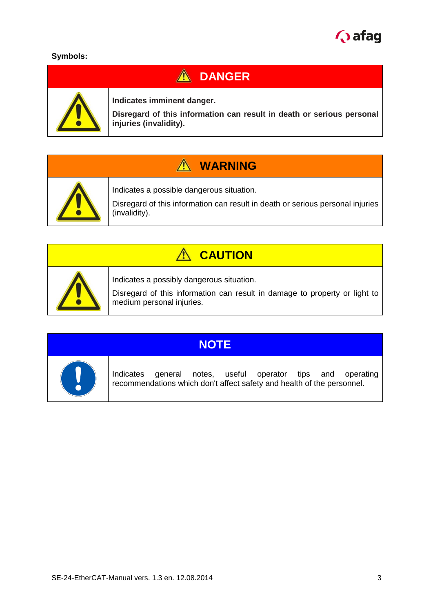

#### **Symbols:**

# **A** DANGER



**Indicates imminent danger.**

**Disregard of this information can result in death or serious personal injuries (invalidity).**

# **WARNING**



Indicates a possible dangerous situation.

Disregard of this information can result in death or serious personal injuries (invalidity).

# **CAUTION**



Indicates a possibly dangerous situation.

Disregard of this information can result in damage to property or light to medium personal injuries.



# **NOTE**

Indicates general notes, useful operator tips and operating recommendations which don't affect safety and health of the personnel.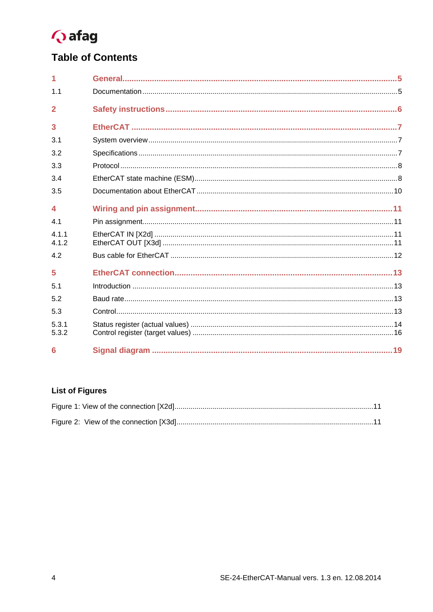

# **Table of Contents**

| 1.1                    |  |
|------------------------|--|
| $\overline{2}$         |  |
| 3                      |  |
| 3.1                    |  |
| 3.2                    |  |
| 3.3                    |  |
| 3.4                    |  |
| 3.5                    |  |
| $\boldsymbol{\Lambda}$ |  |
| 41                     |  |
| 4.1.1<br>4.1.2         |  |
| 4.2                    |  |
| 5                      |  |
| 51                     |  |
| 5.2                    |  |
| 5.3                    |  |
| 5.3.1<br>5.3.2         |  |
| 6                      |  |

## **List of Figures**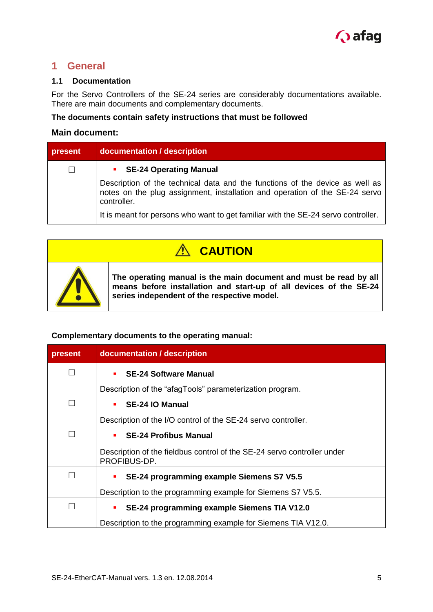

#### <span id="page-4-1"></span>**1 General**

#### <span id="page-4-0"></span>**1.1 Documentation**

For the Servo Controllers of the SE-24 series are considerably documentations available. There are main documents and complementary documents.

#### **The documents contain safety instructions that must be followed**

#### **Main document:**

| present | documentation / description                                                                                                                                                |  |  |
|---------|----------------------------------------------------------------------------------------------------------------------------------------------------------------------------|--|--|
| $\perp$ | • SE-24 Operating Manual                                                                                                                                                   |  |  |
|         | Description of the technical data and the functions of the device as well as<br>notes on the plug assignment, installation and operation of the SE-24 servo<br>controller. |  |  |
|         | It is meant for persons who want to get familiar with the SE-24 servo controller.                                                                                          |  |  |

| <b>CAUTION</b> |                                                                                                                                                                                        |  |
|----------------|----------------------------------------------------------------------------------------------------------------------------------------------------------------------------------------|--|
|                | The operating manual is the main document and must be read by all<br>means before installation and start-up of all devices of the SE-24<br>series independent of the respective model. |  |

#### **Complementary documents to the operating manual:**

| present | documentation / description                                                             |  |
|---------|-----------------------------------------------------------------------------------------|--|
|         | <b>SE-24 Software Manual</b>                                                            |  |
|         | Description of the "afagTools" parameterization program.                                |  |
|         | SE-24 IO Manual                                                                         |  |
|         | Description of the I/O control of the SE-24 servo controller.                           |  |
|         | <b>SE-24 Profibus Manual</b>                                                            |  |
|         | Description of the fieldbus control of the SE-24 servo controller under<br>PROFIBUS-DP. |  |
|         | SE-24 programming example Siemens S7 V5.5                                               |  |
|         | Description to the programming example for Siemens S7 V5.5.                             |  |
|         | SE-24 programming example Siemens TIA V12.0                                             |  |
|         | Description to the programming example for Siemens TIA V12.0.                           |  |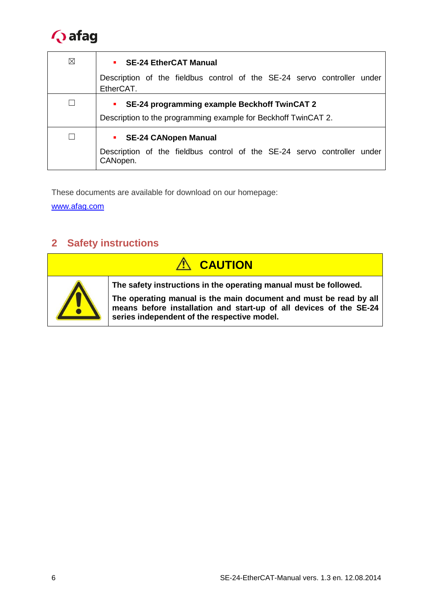

| ⊠ | • SE-24 EtherCAT Manual                                                                                             |
|---|---------------------------------------------------------------------------------------------------------------------|
|   | Description of the fieldbus control of the SE-24 servo controller under<br>EtherCAT.                                |
|   | SE-24 programming example Beckhoff TwinCAT 2<br>٠<br>Description to the programming example for Beckhoff TwinCAT 2. |
|   | • SE-24 CANopen Manual<br>Description of the fieldbus control of the SE-24 servo controller under<br>CANopen.       |

These documents are available for download on our homepage:

[www.afag.com](http://www.afag.com/)

## <span id="page-5-0"></span>**2 Safety instructions**

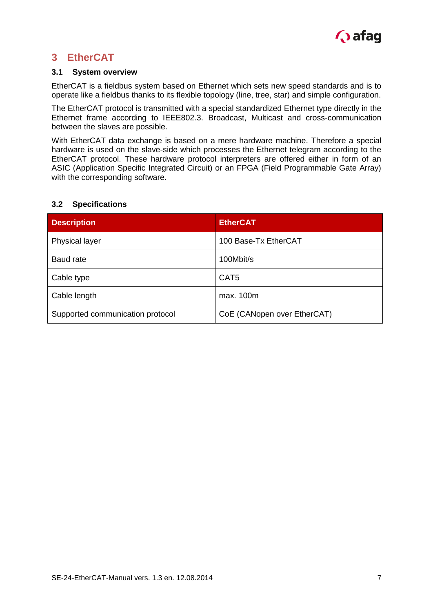

## <span id="page-6-0"></span>**3 EtherCAT**

#### <span id="page-6-1"></span>**3.1 System overview**

EtherCAT is a fieldbus system based on Ethernet which sets new speed standards and is to operate like a fieldbus thanks to its flexible topology (line, tree, star) and simple configuration.

The EtherCAT protocol is transmitted with a special standardized Ethernet type directly in the Ethernet frame according to IEEE802.3. Broadcast, Multicast and cross-communication between the slaves are possible.

With EtherCAT data exchange is based on a mere hardware machine. Therefore a special hardware is used on the slave-side which processes the Ethernet telegram according to the EtherCAT protocol. These hardware protocol interpreters are offered either in form of an ASIC (Application Specific Integrated Circuit) or an FPGA (Field Programmable Gate Array) with the corresponding software.

#### <span id="page-6-2"></span>**3.2 Specifications**

| <b>Description</b>               | <b>EtherCAT</b>             |
|----------------------------------|-----------------------------|
| <b>Physical layer</b>            | 100 Base-Tx EtherCAT        |
| Baud rate                        | 100Mbit/s                   |
| Cable type                       | CAT <sub>5</sub>            |
| Cable length                     | max. 100m                   |
| Supported communication protocol | CoE (CANopen over EtherCAT) |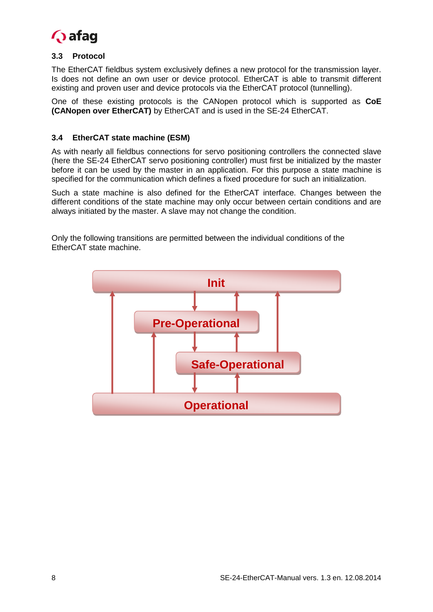

#### <span id="page-7-0"></span>**3.3 Protocol**

The EtherCAT fieldbus system exclusively defines a new protocol for the transmission layer. Is does not define an own user or device protocol. EtherCAT is able to transmit different existing and proven user and device protocols via the EtherCAT protocol (tunnelling).

One of these existing protocols is the CANopen protocol which is supported as **CoE (CANopen over EtherCAT)** by EtherCAT and is used in the SE-24 EtherCAT.

#### <span id="page-7-1"></span>**3.4 EtherCAT state machine (ESM)**

As with nearly all fieldbus connections for servo positioning controllers the connected slave (here the SE-24 EtherCAT servo positioning controller) must first be initialized by the master before it can be used by the master in an application. For this purpose a state machine is specified for the communication which defines a fixed procedure for such an initialization.

Such a state machine is also defined for the EtherCAT interface. Changes between the different conditions of the state machine may only occur between certain conditions and are always initiated by the master. A slave may not change the condition.

Only the following transitions are permitted between the individual conditions of the EtherCAT state machine.

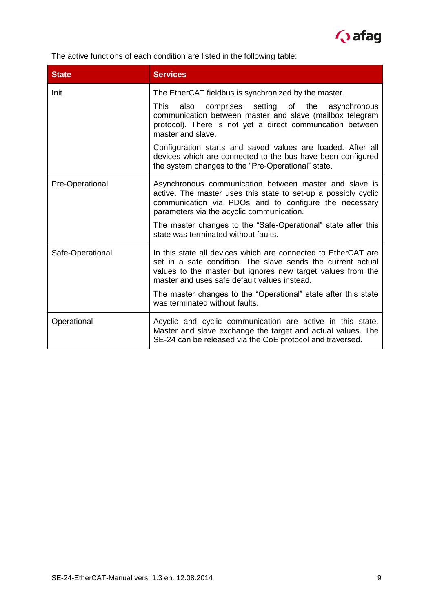

The active functions of each condition are listed in the following table:

| <b>State</b>                                                                                                                                                                                          | <b>Services</b>                                                                                                                                                                                                                             |  |
|-------------------------------------------------------------------------------------------------------------------------------------------------------------------------------------------------------|---------------------------------------------------------------------------------------------------------------------------------------------------------------------------------------------------------------------------------------------|--|
| Init                                                                                                                                                                                                  | The EtherCAT fieldbus is synchronized by the master.                                                                                                                                                                                        |  |
|                                                                                                                                                                                                       | also comprises setting of the asynchronous<br><b>This</b><br>communication between master and slave (mailbox telegram<br>protocol). There is not yet a direct communcation between<br>master and slave.                                     |  |
|                                                                                                                                                                                                       | Configuration starts and saved values are loaded. After all<br>devices which are connected to the bus have been configured<br>the system changes to the "Pre-Operational" state.                                                            |  |
| Pre-Operational                                                                                                                                                                                       | Asynchronous communication between master and slave is<br>active. The master uses this state to set-up a possibly cyclic<br>communication via PDOs and to configure the necessary<br>parameters via the acyclic communication.              |  |
|                                                                                                                                                                                                       | The master changes to the "Safe-Operational" state after this<br>state was terminated without faults.                                                                                                                                       |  |
| Safe-Operational                                                                                                                                                                                      | In this state all devices which are connected to EtherCAT are<br>set in a safe condition. The slave sends the current actual<br>values to the master but ignores new target values from the<br>master and uses safe default values instead. |  |
|                                                                                                                                                                                                       | The master changes to the "Operational" state after this state<br>was terminated without faults.                                                                                                                                            |  |
| Operational<br>Acyclic and cyclic communication are active in this state.<br>Master and slave exchange the target and actual values. The<br>SE-24 can be released via the CoE protocol and traversed. |                                                                                                                                                                                                                                             |  |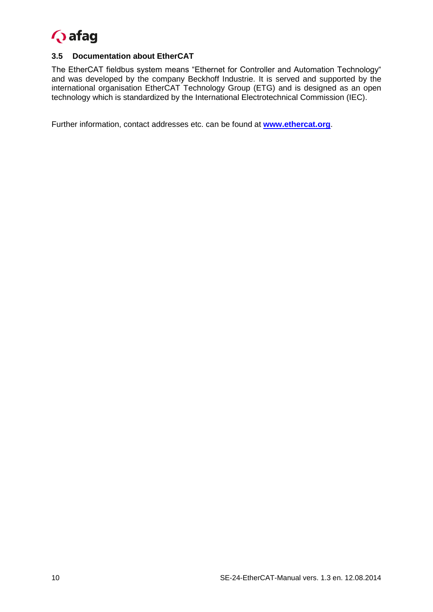

#### <span id="page-9-0"></span>**3.5 Documentation about EtherCAT**

The EtherCAT fieldbus system means "Ethernet for Controller and Automation Technology" and was developed by the company Beckhoff Industrie. It is served and supported by the international organisation EtherCAT Technology Group (ETG) and is designed as an open technology which is standardized by the International Electrotechnical Commission (IEC).

Further information, contact addresses etc. can be found at **[www.ethercat.org](http://www.ethercat.org/)**.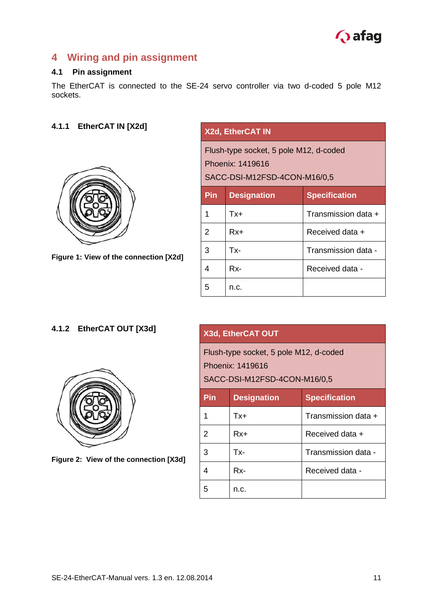

## <span id="page-10-0"></span>**4 Wiring and pin assignment**

#### <span id="page-10-1"></span>**4.1 Pin assignment**

The EtherCAT is connected to the SE-24 servo controller via two d-coded 5 pole M12 sockets.

### <span id="page-10-2"></span>**4.1.1 EtherCAT IN [X2d]**



**Figure 1: View of the connection [X2d]**

| <b>X2d, EtherCAT IN</b>                                                                    |                    |                      |
|--------------------------------------------------------------------------------------------|--------------------|----------------------|
| Flush-type socket, 5 pole M12, d-coded<br>Phoenix: 1419616<br>SACC-DSI-M12FSD-4CON-M16/0,5 |                    |                      |
| Pin                                                                                        | <b>Designation</b> | <b>Specification</b> |
| 1                                                                                          | Tx+                | Transmission data +  |
| 2                                                                                          | $Rx+$              | Received data +      |
| 3                                                                                          | Tx-                | Transmission data -  |
| 4                                                                                          | Rx-                | Received data -      |
| 5                                                                                          | n.c.               |                      |

#### <span id="page-10-3"></span>**4.1.2 EtherCAT OUT [X3d]**



**Figure 2: View of the connection [X3d]**

#### **X3d, EtherCAT OUT**

Flush-type socket, 5 pole M12, d-coded Phoenix: 1419616

#### SACC-DSI-M12FSD-4CON-M16/0,5

| Pin | <b>Designation</b> | <b>Specification</b> |
|-----|--------------------|----------------------|
|     | Tx+                | Transmission data +  |
| 2   | Rx+                | Received data +      |
| 3   | Tx-                | Transmission data -  |
|     | Rx-                | Received data -      |
| 5   | n.c.               |                      |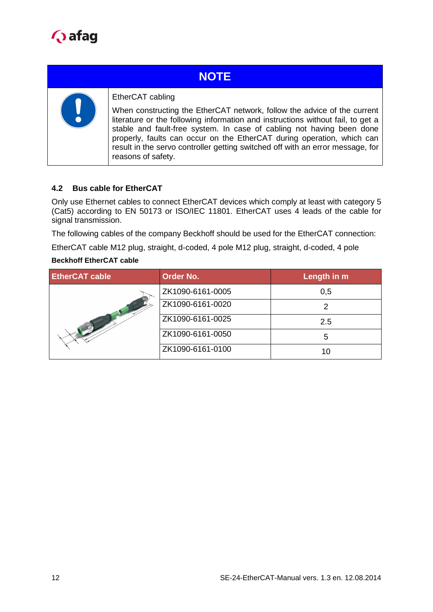

# **NOTE**



#### EtherCAT cabling

When constructing the EtherCAT network, follow the advice of the current literature or the following information and instructions without fail, to get a stable and fault-free system. In case of cabling not having been done properly, faults can occur on the EtherCAT during operation, which can result in the servo controller getting switched off with an error message, for reasons of safety.

#### <span id="page-11-0"></span>**4.2 Bus cable for EtherCAT**

Only use Ethernet cables to connect EtherCAT devices which comply at least with category 5 (Cat5) according to EN 50173 or ISO/IEC 11801. EtherCAT uses 4 leads of the cable for signal transmission.

The following cables of the company Beckhoff should be used for the EtherCAT connection:

EtherCAT cable M12 plug, straight, d-coded, 4 pole M12 plug, straight, d-coded, 4 pole

#### **Beckhoff EtherCAT cable**

| <b>EtherCAT cable</b> | <b>Order No.</b> | Length in m |
|-----------------------|------------------|-------------|
|                       | ZK1090-6161-0005 | 0,5         |
|                       | ZK1090-6161-0020 | 2           |
|                       | ZK1090-6161-0025 | 2.5         |
|                       | ZK1090-6161-0050 | 5           |
|                       | ZK1090-6161-0100 | 10          |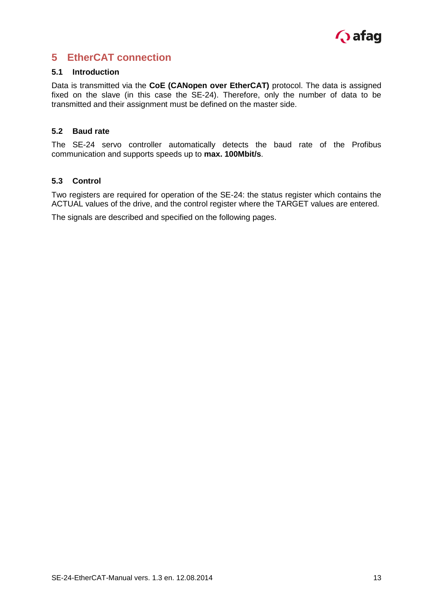

## <span id="page-12-0"></span>**5 EtherCAT connection**

#### <span id="page-12-1"></span>**5.1 Introduction**

Data is transmitted via the **CoE (CANopen over EtherCAT)** protocol. The data is assigned fixed on the slave (in this case the SE-24). Therefore, only the number of data to be transmitted and their assignment must be defined on the master side.

#### <span id="page-12-2"></span>**5.2 Baud rate**

The SE-24 servo controller automatically detects the baud rate of the Profibus communication and supports speeds up to **max. 100Mbit/s**.

#### <span id="page-12-3"></span>**5.3 Control**

Two registers are required for operation of the SE-24: the status register which contains the ACTUAL values of the drive, and the control register where the TARGET values are entered.

The signals are described and specified on the following pages.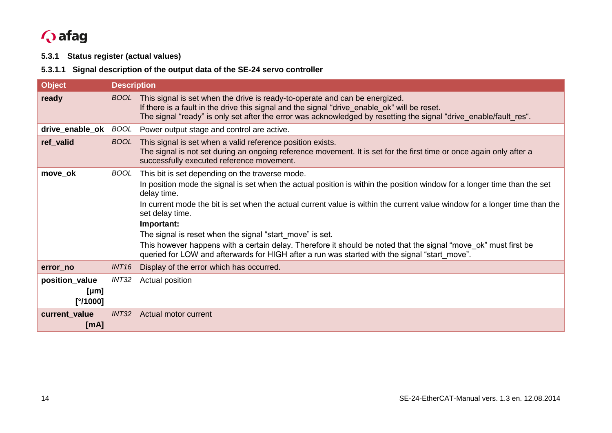# **Q** afag

#### **5.3.1 Status register (actual values)**

#### **5.3.1.1 Signal description of the output data of the SE-24 servo controller**

<span id="page-13-0"></span>

| <b>Object</b>                      | <b>Description</b> |                                                                                                                                                                                                                                                                                                                                                                                                                                                                                                                                                                                                                                           |
|------------------------------------|--------------------|-------------------------------------------------------------------------------------------------------------------------------------------------------------------------------------------------------------------------------------------------------------------------------------------------------------------------------------------------------------------------------------------------------------------------------------------------------------------------------------------------------------------------------------------------------------------------------------------------------------------------------------------|
| ready                              | <b>BOOL</b>        | This signal is set when the drive is ready-to-operate and can be energized.<br>If there is a fault in the drive this signal and the signal "drive_enable_ok" will be reset.<br>The signal "ready" is only set after the error was acknowledged by resetting the signal "drive enable/fault res".                                                                                                                                                                                                                                                                                                                                          |
| drive_enable_ok                    | BOOL               | Power output stage and control are active.                                                                                                                                                                                                                                                                                                                                                                                                                                                                                                                                                                                                |
| ref_valid                          | <b>BOOL</b>        | This signal is set when a valid reference position exists.<br>The signal is not set during an ongoing reference movement. It is set for the first time or once again only after a<br>successfully executed reference movement.                                                                                                                                                                                                                                                                                                                                                                                                            |
| move_ok                            | <b>BOOL</b>        | This bit is set depending on the traverse mode.<br>In position mode the signal is set when the actual position is within the position window for a longer time than the set<br>delay time.<br>In current mode the bit is set when the actual current value is within the current value window for a longer time than the<br>set delay time.<br>Important:<br>The signal is reset when the signal "start_move" is set.<br>This however happens with a certain delay. Therefore it should be noted that the signal "move_ok" must first be<br>queried for LOW and afterwards for HIGH after a run was started with the signal "start_move". |
| error_no                           | INT <sub>16</sub>  | Display of the error which has occurred.                                                                                                                                                                                                                                                                                                                                                                                                                                                                                                                                                                                                  |
| position_value<br>[µm]<br>[°/1000] | INT32              | Actual position                                                                                                                                                                                                                                                                                                                                                                                                                                                                                                                                                                                                                           |
| current_value<br>[mA]              | INT32              | Actual motor current                                                                                                                                                                                                                                                                                                                                                                                                                                                                                                                                                                                                                      |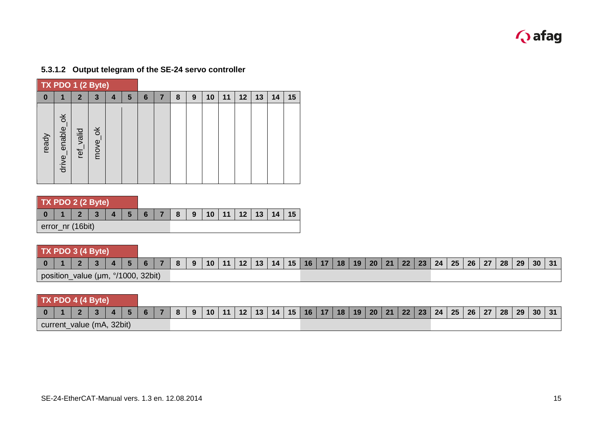

|          | TX PDO 1 (2 Byte)                     |              |                          |   |   |   |   |   |   |    |    |         |    |    |    |
|----------|---------------------------------------|--------------|--------------------------|---|---|---|---|---|---|----|----|---------|----|----|----|
| $\bf{0}$ | 1                                     | $\mathbf{2}$ | 3                        | 4 | 5 | 6 | 7 | 8 | 9 | 10 | 11 | $12 \,$ | 13 | 14 | 15 |
| ready    | $\breve{\sigma}$<br>enable_<br>drive_ | ref_valid    | $\breve{\sigma}$<br>move |   |   |   |   |   |   |    |    |         |    |    |    |

#### **5.3.1.2 Output telegram of the SE-24 servo controller**

|  |  | TX PDO 2 (2 Byte) |  |
|--|--|-------------------|--|
|  |  |                   |  |

|                  |  | 2   3   4   5   6   7   8   9   10   11   12   13   14   15 |  |  |  |  |  |  |
|------------------|--|-------------------------------------------------------------|--|--|--|--|--|--|
| error_nr (16bit) |  |                                                             |  |  |  |  |  |  |

|  | TX PDO 3 (4 Byte)                  |  |  |    |   |         |                |    |                                                                          |  |  |  |  |  |  |    |
|--|------------------------------------|--|--|----|---|---------|----------------|----|--------------------------------------------------------------------------|--|--|--|--|--|--|----|
|  |                                    |  |  | 81 | 9 | $10$ 11 | $12$   13   14 | 15 | 16   17   18   19   20   21   22   23   24   25   26   27   28   29   30 |  |  |  |  |  |  | 31 |
|  | position_value (µm, °/1000, 32bit) |  |  |    |   |         |                |    |                                                                          |  |  |  |  |  |  |    |

|  | TX PDO 4 (4 Byte)         |  |  |    |    |           |                |    |                |              |  |  |  |                                 |  |              |    |
|--|---------------------------|--|--|----|----|-----------|----------------|----|----------------|--------------|--|--|--|---------------------------------|--|--------------|----|
|  |                           |  |  | -8 | -9 | $10$   11 | $12$   13   14 | 15 | $16$   17   18 | 19   20   21 |  |  |  | 22   23   24   25   26   27   \ |  | 28   29   30 | 31 |
|  | current_value (mA, 32bit) |  |  |    |    |           |                |    |                |              |  |  |  |                                 |  |              |    |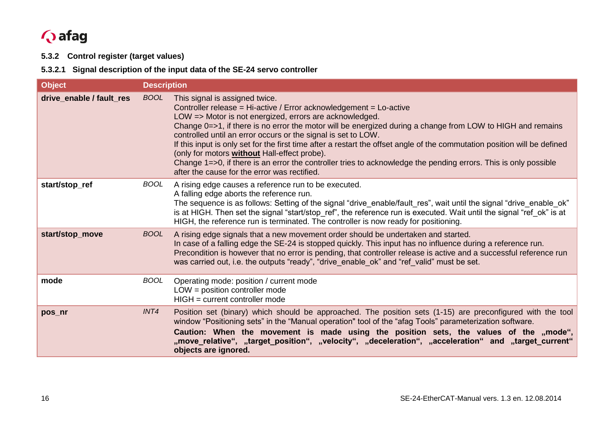# **Q** afag

**5.3.2 Control register (target values)**

**5.3.2.1 Signal description of the input data of the SE-24 servo controller**

<span id="page-15-0"></span>

| <b>Object</b>            | <b>Description</b> |                                                                                                                                                                                                                                                                                                                                                                                                                                                                                                                                                                                                                                                                                                       |
|--------------------------|--------------------|-------------------------------------------------------------------------------------------------------------------------------------------------------------------------------------------------------------------------------------------------------------------------------------------------------------------------------------------------------------------------------------------------------------------------------------------------------------------------------------------------------------------------------------------------------------------------------------------------------------------------------------------------------------------------------------------------------|
| drive_enable / fault_res | <b>BOOL</b>        | This signal is assigned twice.<br>Controller release = Hi-active / Error acknowledgement = Lo-active<br>LOW => Motor is not energized, errors are acknowledged.<br>Change 0=>1, if there is no error the motor will be energized during a change from LOW to HIGH and remains<br>controlled until an error occurs or the signal is set to LOW.<br>If this input is only set for the first time after a restart the offset angle of the commutation position will be defined<br>(only for motors <b>without</b> Hall-effect probe).<br>Change 1=>0, if there is an error the controller tries to acknowledge the pending errors. This is only possible<br>after the cause for the error was rectified. |
| start/stop_ref           | <b>BOOL</b>        | A rising edge causes a reference run to be executed.<br>A falling edge aborts the reference run.<br>The sequence is as follows: Setting of the signal "drive_enable/fault_res", wait until the signal "drive_enable_ok"<br>is at HIGH. Then set the signal "start/stop_ref", the reference run is executed. Wait until the signal "ref_ok" is at<br>HIGH, the reference run is terminated. The controller is now ready for positioning.                                                                                                                                                                                                                                                               |
| start/stop_move          | <b>BOOL</b>        | A rising edge signals that a new movement order should be undertaken and started.<br>In case of a falling edge the SE-24 is stopped quickly. This input has no influence during a reference run.<br>Precondition is however that no error is pending, that controller release is active and a successful reference run<br>was carried out, i.e. the outputs "ready", "drive_enable_ok" and "ref_valid" must be set.                                                                                                                                                                                                                                                                                   |
| mode                     | <b>BOOL</b>        | Operating mode: position / current mode<br>$LOW = position controller mode$<br>$HIGH = current controller mode$                                                                                                                                                                                                                                                                                                                                                                                                                                                                                                                                                                                       |
| pos_nr                   | INT4               | Position set (binary) which should be approached. The position sets (1-15) are preconfigured with the tool<br>window "Positioning sets" in the "Manual operation" tool of the "afag Tools" parameterization software.<br>Caution: When the movement is made using the position sets, the values of the "mode",<br>"move_relative", ,,target_position", ,,velocity", ,,deceleration", ,,acceleration" and ,,target_current,<br>objects are ignored.                                                                                                                                                                                                                                                    |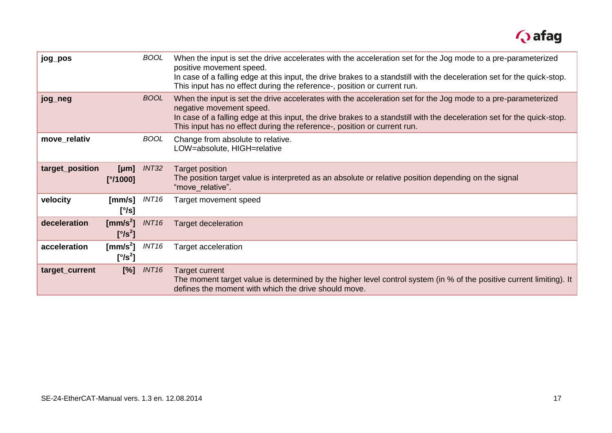

| jog_pos         |                                                       | <b>BOOL</b>       | When the input is set the drive accelerates with the acceleration set for the Jog mode to a pre-parameterized<br>positive movement speed.<br>In case of a falling edge at this input, the drive brakes to a standstill with the deceleration set for the quick-stop.<br>This input has no effect during the reference-, position or current run. |
|-----------------|-------------------------------------------------------|-------------------|--------------------------------------------------------------------------------------------------------------------------------------------------------------------------------------------------------------------------------------------------------------------------------------------------------------------------------------------------|
| jog_neg         |                                                       | <b>BOOL</b>       | When the input is set the drive accelerates with the acceleration set for the Jog mode to a pre-parameterized<br>negative movement speed.<br>In case of a falling edge at this input, the drive brakes to a standstill with the deceleration set for the quick-stop.<br>This input has no effect during the reference-, position or current run. |
| move_relativ    |                                                       | <b>BOOL</b>       | Change from absolute to relative.<br>LOW=absolute, HIGH=relative                                                                                                                                                                                                                                                                                 |
| target_position | [µm]<br>[°/1000]                                      | INT32             | <b>Target position</b><br>The position target value is interpreted as an absolute or relative position depending on the signal<br>"move_relative".                                                                                                                                                                                               |
| velocity        | [mm/s]<br>[°/s]                                       | INT <sub>16</sub> | Target movement speed                                                                                                                                                                                                                                                                                                                            |
| deceleration    | [mm/s <sup>2</sup> ]<br>$[^{\circ}$ /s <sup>2</sup> ] | <b>INT16</b>      | <b>Target deceleration</b>                                                                                                                                                                                                                                                                                                                       |
| acceleration    | [mm/s $^2$ ]<br>$[^{\circ}$ /s <sup>2</sup> ]         | INT <sub>16</sub> | Target acceleration                                                                                                                                                                                                                                                                                                                              |
| target_current  | $[\%]$                                                | INT <sub>16</sub> | Target current<br>The moment target value is determined by the higher level control system (in % of the positive current limiting). It<br>defines the moment with which the drive should move.                                                                                                                                                   |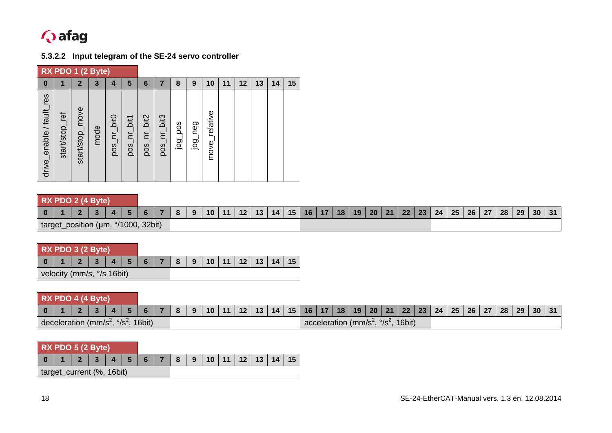

#### **5.3.2.2 Input telegram of the SE-24 servo controller**

|                             | RX PDO 1 (2 Byte) |                 |      |                |             |                               |                                         |         |                       |                  |    |    |    |    |    |
|-----------------------------|-------------------|-----------------|------|----------------|-------------|-------------------------------|-----------------------------------------|---------|-----------------------|------------------|----|----|----|----|----|
| $\bf{0}$                    |                   | $\mathbf{2}$    | 3    | 4              | 5           | 6                             | 7                                       | 8       | 9                     | 10               | 11 | 12 | 13 | 14 | 15 |
| res<br>drive_enable / fault | start/stop_ref    | start/stop_move | mode | nr_bit0<br>pos | pos_nr_bit1 | bit2<br>$\mathbf{F}_1$<br>pos | bit <sub>3</sub><br>$\mathsf{E}$<br>pos | poq_pos | neg<br>$\overline{9}$ | relative<br>move |    |    |    |    |    |

### **RX PDO 2 (4 Byte)**

|  |                              | $\mathbf{a}$ |        | 81 | $\sqrt{9}$ | $10$   11 | $12$   13   14 |  | $15$   16   17 |  |  | $18$   19   20   21   22   23 | 24   25   26   27 |  | $\vert$ 28 $\vert$ 29 $\vert$ 30 $\vert$ | 31 |
|--|------------------------------|--------------|--------|----|------------|-----------|----------------|--|----------------|--|--|-------------------------------|-------------------|--|------------------------------------------|----|
|  | target_position (µm, °/1000, |              | 32bit) |    |            |           |                |  |                |  |  |                               |                   |  |                                          |    |

| RX PDO 3 (2 Byte)          |                 |                   |                |     |  |                       |  |  |
|----------------------------|-----------------|-------------------|----------------|-----|--|-----------------------|--|--|
|                            | $2 \mid 3 \mid$ | $\vert$ 4 $\vert$ | 5 <sup>1</sup> | 6 7 |  | 8 9 10 11 12 13 14 15 |  |  |
| velocity (mm/s, °/s 16bit) |                 |                   |                |     |  |                       |  |  |

|                                                          | RX PDO 4 (4 Byte) |  |  |  |  |  |         |                                                                                                             |  |  |  |  |  |                                                          |  |  |  |  |  |
|----------------------------------------------------------|-------------------|--|--|--|--|--|---------|-------------------------------------------------------------------------------------------------------------|--|--|--|--|--|----------------------------------------------------------|--|--|--|--|--|
|                                                          |                   |  |  |  |  |  | 6 7 8 9 | 10   11   12   13   14   15   16   17   18   19   20   21   22   23   24   25   26   27   28   29   30   31 |  |  |  |  |  |                                                          |  |  |  |  |  |
| deceleration (mm/s <sup>2</sup> , $\frac{9}{5}$ , 16bit) |                   |  |  |  |  |  |         |                                                                                                             |  |  |  |  |  | acceleration (mm/s <sup>2</sup> , $\frac{9}{5}$ , 16bit) |  |  |  |  |  |

| RX PDO 5 (2 Byte)         |  |  |  |                 |  |  |                  |  |                       |  |  |  |
|---------------------------|--|--|--|-----------------|--|--|------------------|--|-----------------------|--|--|--|
|                           |  |  |  | $\vert$ $\vert$ |  |  | $56 \mid 7 \mid$ |  | 8 9 10 11 12 13 14 15 |  |  |  |
| target_current (%, 16bit) |  |  |  |                 |  |  |                  |  |                       |  |  |  |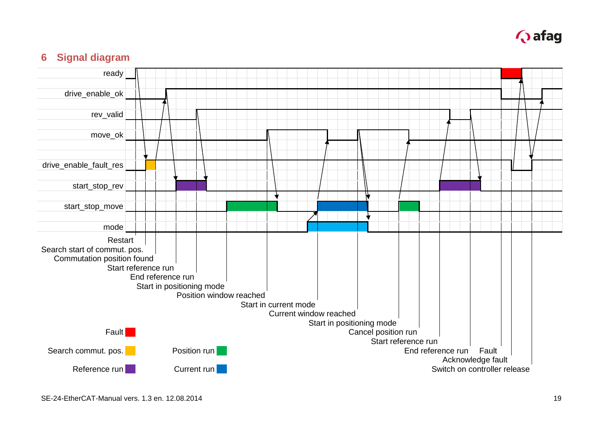

## **6 Signal diagram**

<span id="page-18-0"></span>